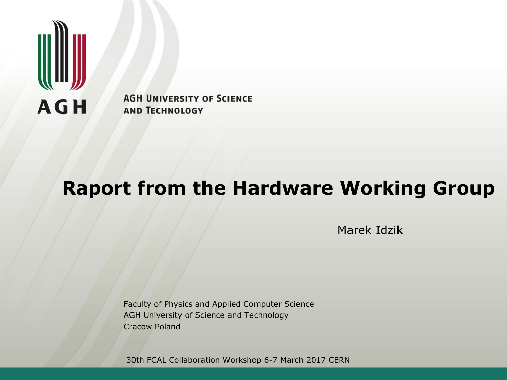

**AGH UNIVERSITY OF SCIENCE AND TECHNOLOGY** 

# **Raport from the Hardware Working Group**

Marek Idzik

Faculty of Physics and Applied Computer Science AGH University of Science and Technology Cracow Poland

30th FCAL Collaboration Workshop 6-7 March 2017 CERN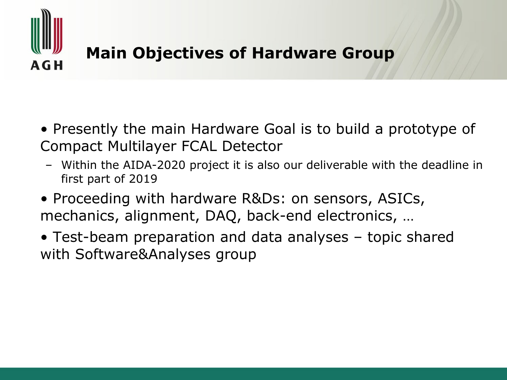

## **Main Objectives of Hardware Group**

- Presently the main Hardware Goal is to build a prototype of Compact Multilayer FCAL Detector
- Within the AIDA-2020 project it is also our deliverable with the deadline in first part of 2019
- Proceeding with hardware R&Ds: on sensors, ASICs, mechanics, alignment, DAQ, back-end electronics, …
- Test-beam preparation and data analyses topic shared with Software&Analyses group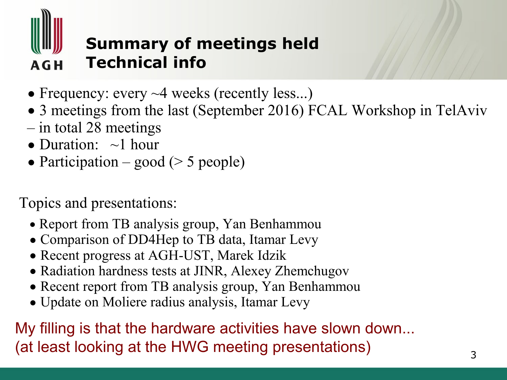

## **Summary of meetings held Technical info**

- Frequency: every  $\sim$ 4 weeks (recently less...)
- 3 meetings from the last (September 2016) FCAL Workshop in TelAviv
- in total 28 meetings
- Duration:  $\sim$ 1 hour
- Participation good ( $>$  5 people)

Topics and presentations:

- Report from TB analysis group, Yan Benhammou
- Comparison of DD4Hep to TB data, Itamar Levy
- Recent progress at AGH-UST, Marek Idzik
- Radiation hardness tests at JINR, Alexey Zhemchugov
- Recent report from TB analysis group, Yan Benhammou
- Update on Moliere radius analysis, Itamar Levy

My filling is that the hardware activities have slown down... (at least looking at the HWG meeting presentations)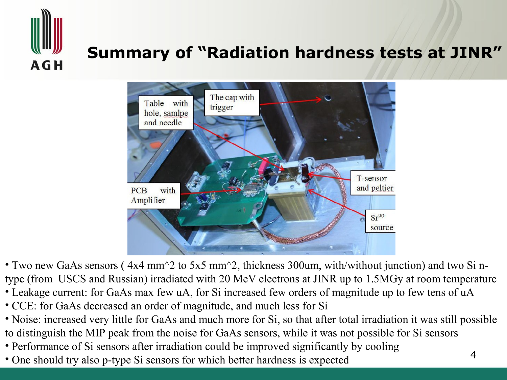

## **Summary of "Radiation hardness tests at JINR"**



• Two new GaAs sensors ( 4x4 mm^2 to 5x5 mm^2, thickness 300um, with/without junction) and two Si ntype (from USCS and Russian) irradiated with 20 MeV electrons at JINR up to 1.5MGy at room temperature

- Leakage current: for GaAs max few uA, for Si increased few orders of magnitude up to few tens of uA
- CCE: for GaAs decreased an order of magnitude, and much less for Si
- Noise: increased very little for GaAs and much more for Si, so that after total irradiation it was still possible to distinguish the MIP peak from the noise for GaAs sensors, while it was not possible for Si sensors
- Performance of Si sensors after irradiation could be improved significantly by cooling
- One should try also p-type Si sensors for which better hardness is expected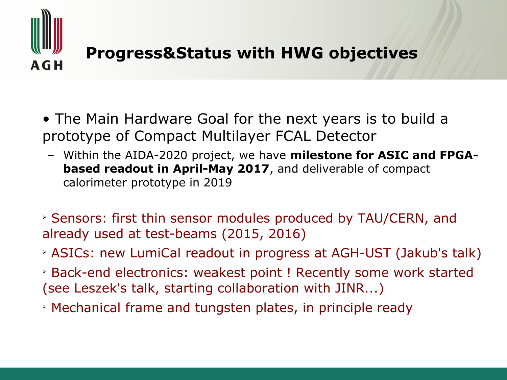

#### **Progress&Status with HWG objectives**

- The Main Hardware Goal for the next years is to build a prototype of Compact Multilayer FCAL Detector
	- Within the AIDA-2020 project, we have **milestone for ASIC and FPGAbased readout in April-May 2017**, and deliverable of compact calorimeter prototype in 2019
- ➢ Sensors: first thin sensor modules produced by TAU/CERN, and already used at test-beams (2015, 2016)
- ➢ ASICs: new LumiCal readout in progress at AGH-UST (Jakub's talk)
- ➢ Back-end electronics: weakest point ! Recently some work started (see Leszek's talk, starting collaboration with JINR...)
- ➢ Mechanical frame and tungsten plates, in principle ready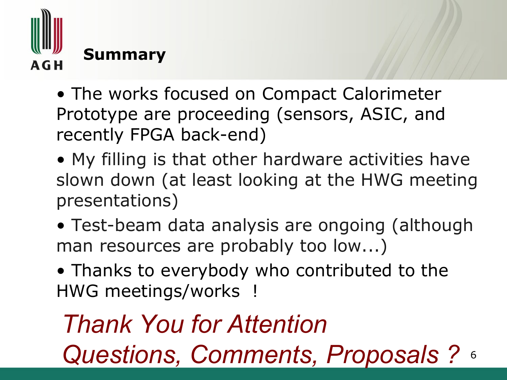

- The works focused on Compact Calorimeter Prototype are proceeding (sensors, ASIC, and recently FPGA back-end)
- My filling is that other hardware activities have slown down (at least looking at the HWG meeting presentations)
- Test-beam data analysis are ongoing (although man resources are probably too low...)
- Thanks to everybody who contributed to the HWG meetings/works !

### 6 *Thank You for Attention Questions, Comments, Proposals ?*